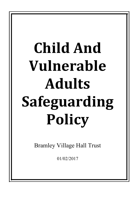## **Child And Vulnerable Adults Safeguarding Policy**

Bramley Village Hall Trust

01/02/2017